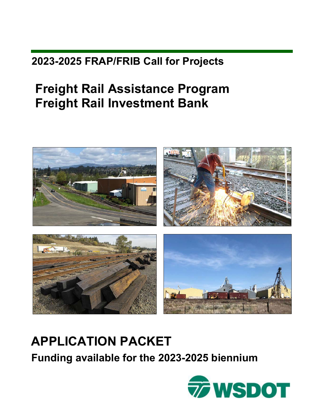# **2023-2025 FRAP/FRIB Call for Projects**

# **Freight Rail Assistance Program Freight Rail Investment Bank**



# **APPLICATION PACKET**

**Funding available for the 2023-2025 biennium** 

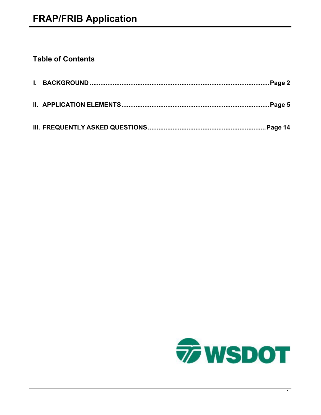# **Table of Contents**

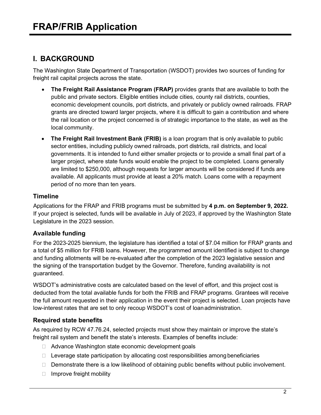# **I. BACKGROUND**

The Washington State Department of Transportation (WSDOT) provides two sources of funding for freight rail capital projects across the state.

- **The Freight Rail Assistance Program (FRAP)** provides grants that are available to both the public and private sectors. Eligible entities include cities, county rail districts, counties, economic development councils, port districts, and privately or publicly owned railroads. FRAP grants are directed toward larger projects, where it is difficult to gain a contribution and where the rail location or the project concerned is of strategic importance to the state, as well as the local community.
- **The Freight Rail Investment Bank (FRIB)** is a loan program that is only available to public sector entities, including publicly owned railroads, port districts, rail districts, and local governments. It is intended to fund either smaller projects or to provide a small final part of a larger project, where state funds would enable the project to be completed. Loans generally are limited to \$250,000, although requests for larger amounts will be considered if funds are available. All applicants must provide at least a 20% match. Loans come with a repayment period of no more than ten years.

## **Timeline**

Applications for the FRAP and FRIB programs must be submitted by **4 p.m. on September 9, 2022.**  If your project is selected, funds will be available in July of 2023, if approved by the Washington State Legislature in the 2023 session.

## **Available funding**

For the 2023-2025 biennium, the legislature has identified a total of \$7.04 million for FRAP grants and a total of \$5 million for FRIB loans. However, the programmed amount identified is subject to change and funding allotments will be re-evaluated after the completion of the 2023 legislative session and the signing of the transportation budget by the Governor. Therefore, funding availability is not guaranteed.

WSDOT's administrative costs are calculated based on the level of effort, and this project cost is deducted from the total available funds for both the FRIB and FRAP programs. Grantees will receive the full amount requested in their application in the event their project is selected. Loan projects have low-interest rates that are set to only recoup WSDOT's cost of loanadministration.

## **Required state benefits**

As required by RCW 47.76.24, selected projects must show they maintain or improve the state's freight rail system and benefit the state's interests. Examples of benefits include:

- □ Advance Washington state economic development goals
- $\Box$  Leverage state participation by allocating cost responsibilities among beneficiaries
- $\Box$  Demonstrate there is a low likelihood of obtaining public benefits without public involvement.
- $\Box$  Improve freight mobility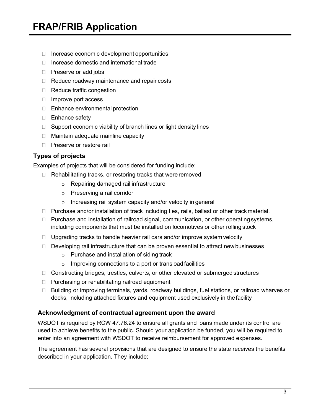- $\Box$  Increase economic development opportunities
- $\Box$  Increase domestic and international trade
- □ Preserve or add jobs
- $\Box$  Reduce roadway maintenance and repair costs
- $\Box$  Reduce traffic congestion
- $\Box$  Improve port access
- □ Enhance environmental protection
- $\Box$  Enhance safety
- $\Box$  Support economic viability of branch lines or light density lines
- $\Box$  Maintain adequate mainline capacity
- □ Preserve or restore rail

#### **Types of projects**

Examples of projects that will be considered for funding include:

- $\Box$  Rehabilitating tracks, or restoring tracks that were removed
	- o Repairing damaged rail infrastructure
	- o Preserving a rail corridor
	- o Increasing rail system capacity and/or velocity in general
- $\Box$  Purchase and/or installation of track including ties, rails, ballast or other track material.
- $\Box$  Purchase and installation of railroad signal, communication, or other operating systems, including components that must be installed on locomotives or other rolling stock
- $\Box$  Upgrading tracks to handle heavier rail cars and/or improve system velocity
- $\Box$  Developing rail infrastructure that can be proven essential to attract new businesses
	- o Purchase and installation of siding track
	- o Improving connections to a port or transload facilities
- $\Box$  Constructing bridges, trestles, culverts, or other elevated or submerged structures
- $\Box$  Purchasing or rehabilitating railroad equipment
- □ Building or improving terminals, yards, roadway buildings, fuel stations, or railroad wharves or docks, including attached fixtures and equipment used exclusively in thefacility

#### **Acknowledgment of contractual agreement upon the award**

WSDOT is required by RCW 47.76.24 to ensure all grants and loans made under its control are used to achieve benefits to the public. Should your application be funded, you will be required to enter into an agreement with WSDOT to receive reimbursement for approved expenses.

The agreement has several provisions that are designed to ensure the state receives the benefits described in your application. They include: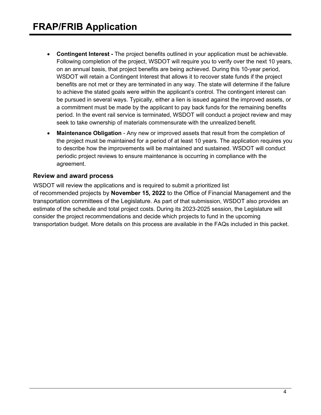- **Contingent Interest -** The project benefits outlined in your application must be achievable. Following completion of the project, WSDOT will require you to verify over the next 10 years, on an annual basis, that project benefits are being achieved. During this 10-year period, WSDOT will retain a Contingent Interest that allows it to recover state funds if the project benefits are not met or they are terminated in any way. The state will determine if the failure to achieve the stated goals were within the applicant's control. The contingent interest can be pursued in several ways. Typically, either a lien is issued against the improved assets, or a commitment must be made by the applicant to pay back funds for the remaining benefits period. In the event rail service is terminated, WSDOT will conduct a project review and may seek to take ownership of materials commensurate with the unrealized benefit.
- **Maintenance Obligation**  Any new or improved assets that result from the completion of the project must be maintained for a period of at least 10 years. The application requires you to describe how the improvements will be maintained and sustained. WSDOT will conduct periodic project reviews to ensure maintenance is occurring in compliance with the agreement.

#### **Review and award process**

WSDOT will review the applications and is required to submit a prioritized list of recommended projects by **November 15, 2022** to the Office of Financial Management and the transportation committees of the Legislature. As part of that submission, WSDOT also provides an estimate of the schedule and total project costs. During its 2023-2025 session, the Legislature will consider the project recommendations and decide which projects to fund in the upcoming transportation budget. More details on this process are available in the FAQs included in this packet.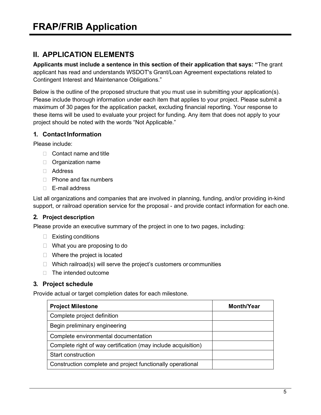# **II. APPLICATION ELEMENTS**

**Applicants must include a sentence in this section of their application that says: "**The grant applicant has read and understands WSDOT's Grant/Loan Agreement expectations related to Contingent Interest and Maintenance Obligations."

Below is the outline of the proposed structure that you must use in submitting your application(s). Please include thorough information under each item that applies to your project. Please submit a maximum of 30 pages for the application packet, excluding financial reporting. Your response to these items will be used to evaluate your project for funding. Any item that does not apply to your project should be noted with the words "Not Applicable."

## **1. ContactInformation**

Please include:

- $\Box$  Contact name and title
- **D** Organization name
- Address
- $\Box$  Phone and fax numbers
- E-mail address

List all organizations and companies that are involved in planning, funding, and/or providing in-kind support, or railroad operation service for the proposal - and provide contact information for each one.

## **2. Project description**

Please provide an executive summary of the project in one to two pages, including:

- $\Box$  Existing conditions
- $\Box$  What you are proposing to do
- $\Box$  Where the project is located
- $\Box$  Which railroad(s) will serve the project's customers or communities
- $\Box$  The intended outcome

## **3. Project schedule**

Provide actual or target completion dates for each milestone.

| <b>Project Milestone</b>                                      | <b>Month/Year</b> |
|---------------------------------------------------------------|-------------------|
| Complete project definition                                   |                   |
| Begin preliminary engineering                                 |                   |
| Complete environmental documentation                          |                   |
| Complete right of way certification (may include acquisition) |                   |
| Start construction                                            |                   |
| Construction complete and project functionally operational    |                   |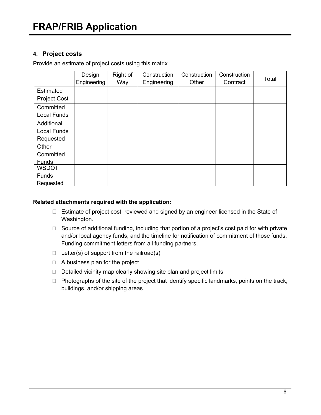### **4. Project costs**

Provide an estimate of project costs using this matrix.

|                     | Design      | Right of | Construction | Construction | Construction |       |
|---------------------|-------------|----------|--------------|--------------|--------------|-------|
|                     | Engineering | Way      | Engineering  | Other        | Contract     | Total |
| Estimated           |             |          |              |              |              |       |
| <b>Project Cost</b> |             |          |              |              |              |       |
| Committed           |             |          |              |              |              |       |
| <b>Local Funds</b>  |             |          |              |              |              |       |
| Additional          |             |          |              |              |              |       |
| <b>Local Funds</b>  |             |          |              |              |              |       |
| Requested           |             |          |              |              |              |       |
| Other               |             |          |              |              |              |       |
| Committed           |             |          |              |              |              |       |
| <b>Funds</b>        |             |          |              |              |              |       |
| <b>WSDOT</b>        |             |          |              |              |              |       |
| Funds               |             |          |              |              |              |       |
| <b>Requested</b>    |             |          |              |              |              |       |

#### **Related attachments required with the application:**

- $\Box$  Estimate of project cost, reviewed and signed by an engineer licensed in the State of Washington.
- □ Source of additional funding, including that portion of a project's cost paid for with private and/or local agency funds, and the timeline for notification of commitment of those funds. Funding commitment letters from all funding partners.
- $\Box$  Letter(s) of support from the railroad(s)
- $\Box$  A business plan for the project
- $\Box$  Detailed vicinity map clearly showing site plan and project limits
- $\Box$  Photographs of the site of the project that identify specific landmarks, points on the track, buildings, and/or shipping areas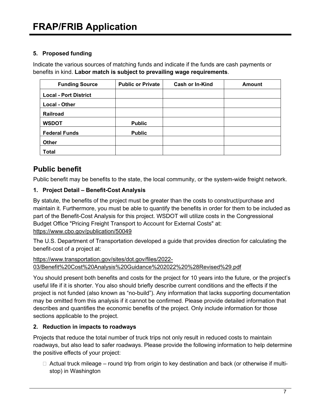#### **5. Proposed funding**

Indicate the various sources of matching funds and indicate if the funds are cash payments or benefits in kind. **Labor match is subject to prevailing wage requirements**.

| <b>Funding Source</b>        | <b>Public or Private</b> | <b>Cash or In-Kind</b> | <b>Amount</b> |
|------------------------------|--------------------------|------------------------|---------------|
| <b>Local - Port District</b> |                          |                        |               |
| <b>Local - Other</b>         |                          |                        |               |
| <b>Railroad</b>              |                          |                        |               |
| <b>WSDOT</b>                 | <b>Public</b>            |                        |               |
| <b>Federal Funds</b>         | <b>Public</b>            |                        |               |
| <b>Other</b>                 |                          |                        |               |
| <b>Total</b>                 |                          |                        |               |

# **Public benefit**

Public benefit may be benefits to the state, the local community, or the system-wide freight network.

## **1. Project Detail – Benefit-Cost Analysis**

By statute, the benefits of the project must be greater than the costs to construct/purchase and maintain it. Furthermore, you must be able to quantify the benefits in order for them to be included as part of the Benefit-Cost Analysis for this project. WSDOT will utilize costs in the Congressional Budget Office "Pricing Freight Transport to Account for External Costs" at: <https://www.cbo.gov/publication/50049>

The U.S. Department of Transportation developed a guide that provides direction for calculating the benefit-cost of a project at:

[https://www.transportation.gov/sites/dot.gov/files/2022-](https://www.transportation.gov/sites/dot.gov/files/2022-03/Benefit%20Cost%20Analysis%20Guidance%202022%20%28Revised%29.pdf) [03/Benefit%20Cost%20Analysis%20Guidance%202022%20%28Revised%29.pdf](https://www.transportation.gov/sites/dot.gov/files/2022-03/Benefit%20Cost%20Analysis%20Guidance%202022%20%28Revised%29.pdf) 

You should present both benefits and costs for the project for 10 years into the future, or the project's useful life if it is shorter. You also should briefly describe current conditions and the effects if the project is not funded (also known as "no-build"). Any information that lacks supporting documentation may be omitted from this analysis if it cannot be confirmed. Please provide detailed information that describes and quantifies the economic benefits of the project. Only include information for those sections applicable to the project.

## **2. Reduction in impacts to roadways**

Projects that reduce the total number of truck trips not only result in reduced costs to maintain roadways, but also lead to safer roadways. Please provide the following information to help determine the positive effects of your project:

 $\Box$  Actual truck mileage – round trip from origin to key destination and back (or otherwise if multistop) in Washington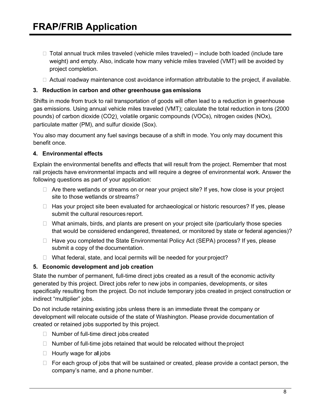- $\Box$  Total annual truck miles traveled (vehicle miles traveled) include both loaded (include tare weight) and empty. Also, indicate how many vehicle miles traveled (VMT) will be avoided by project completion.
- $\Box$  Actual roadway maintenance cost avoidance information attributable to the project, if available.

#### **3. Reduction in carbon and other greenhouse gas emissions**

Shifts in mode from truck to rail transportation of goods will often lead to a reduction in greenhouse gas emissions. Using annual vehicle miles traveled (VMT); calculate the total reduction in tons (2000 pounds) of carbon dioxide (CO2), volatile organic compounds (VOCs), nitrogen oxides (NOx), particulate matter (PM), and sulfur dioxide (Sox).

You also may document any fuel savings because of a shift in mode. You only may document this benefit once.

#### **4. Environmental effects**

Explain the environmental benefits and effects that will result from the project. Remember that most rail projects have environmental impacts and will require a degree of environmental work. Answer the following questions as part of your application:

- $\Box$  Are there wetlands or streams on or near your project site? If yes, how close is your project site to those wetlands or streams?
- $\Box$  Has your project site been evaluated for archaeological or historic resources? If yes, please submit the cultural resources report.
- $\Box$  What animals, birds, and plants are present on your project site (particularly those species that would be considered endangered, threatened, or monitored by state or federal agencies)?
- $\Box$  Have you completed the State Environmental Policy Act (SEPA) process? If yes, please submit a copy of the documentation.
- $\Box$  What federal, state, and local permits will be needed for your project?

#### **5. Economic development and job creation**

State the number of permanent, full-time direct jobs created as a result of the economic activity generated by this project. Direct jobs refer to new jobs in companies, developments, or sites specifically resulting from the project. Do not include temporary jobs created in project construction or indirect "multiplier" jobs.

Do not include retaining existing jobs unless there is an immediate threat the company or development will relocate outside of the state of Washington. Please provide documentation of created or retained jobs supported by this project.

- $\Box$  Number of full-time direct jobs created
- $\Box$  Number of full-time jobs retained that would be relocated without the project
- □ Hourly wage for all jobs
- $\Box$  For each group of jobs that will be sustained or created, please provide a contact person, the company's name, and a phone number.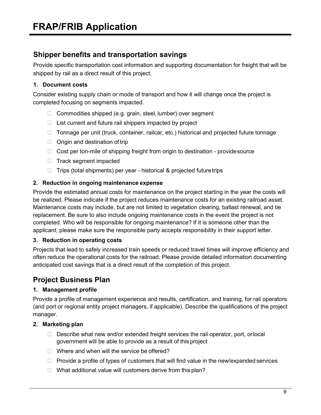## **Shipper benefits and transportation savings**

Provide specific transportation cost information and supporting documentation for freight that will be shipped by rail as a direct result of this project.

#### **1. Document costs**

Consider existing supply chain or mode of transport and how it will change once the project is completed focusing on segments impacted.

- $\Box$  Commodities shipped (e.g. grain, steel, lumber) over segment
- $\Box$  List current and future rail shippers impacted by project
- $\Box$  Tonnage per unit (truck, container, railcar, etc.) historical and projected future tonnage
- $\Box$  Origin and destination of trip
- $\Box$  Cost per ton-mile of shipping freight from origin to destination provide source
- $\Box$  Track segment impacted
- $\Box$  Trips (total shipments) per year historical & projected future trips

#### **2. Reduction in ongoing maintenance expense**

Provide the estimated annual costs for maintenance on the project starting in the year the costs will be realized. Please indicate if the project reduces maintenance costs for an existing railroad asset. Maintenance costs may include, but are not limited to vegetation clearing, ballast renewal, and tie replacement. Be sure to also include ongoing maintenance costs in the event the project is not completed. Who will be responsible for ongoing maintenance? If it is someone other than the applicant, please make sure the responsible party accepts responsibility in their support letter.

#### **3. Reduction in operating costs**

Projects that lead to safely increased train speeds or reduced travel times will improve efficiency and often reduce the operational costs for the railroad. Please provide detailed information documenting anticipated cost savings that is a direct result of the completion of this project.

## **Project Business Plan**

#### **1. Management profile**

Provide a profile of management experience and results, certification, and training, for rail operators (and port or regional entity project managers, if applicable). Describe the qualifications of the project manager.

#### **2. Marketing plan**

- $\Box$  Describe what new and/or extended freight services the rail operator, port, or local government will be able to provide as a result of this project
- $\Box$  Where and when will the service be offered?
- $\Box$  Provide a profile of types of customers that will find value in the new/expanded services
- $\Box$  What additional value will customers derive from this plan?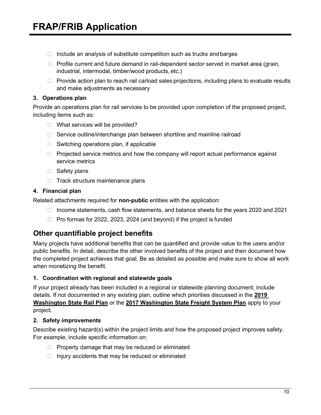- $\Box$  Include an analysis of substitute competition such as trucks and barges
- $\Box$  Profile current and future demand in rail-dependent sector served in market area (grain, industrial, intermodal, timber/wood products, etc.)
- $\Box$  Provide action plan to reach rail carload sales projections, including plans to evaluate results and make adjustments as necessary

#### **3. Operations plan**

Provide an operations plan for rail services to be provided upon completion of the proposed project, including items such as:

- □ What services will be provided?
- $\Box$  Service outline/interchange plan between shortline and mainline railroad
- $\Box$  Switching operations plan, if applicable
- $\Box$  Projected service metrics and how the company will report actual performance against service metrics
- □ Safety plans
- $\Box$  Track structure maintenance plans

#### **4. Financial plan**

Related attachments required for **non-public** entities with the application:

- $\Box$  Income statements, cash flow statements, and balance sheets for the years 2020 and 2021
- $\Box$  Pro formas for 2022, 2023, 2024 (and beyond) if the project is funded

## **Other quantifiable project benefits**

Many projects have additional benefits that can be quantified and provide value to the users and/or public benefits. In detail, describe the other involved benefits of the project and then document how the completed project achieves that goal. Be as detailed as possible and make sure to show all work when monetizing the benefit.

#### **1. Coordination with regional and statewide goals**

If your project already has been included in a regional or statewide planning document, include details. If not documented in any existing plan, outline which priorities discussed in the **[2019](https://wsdot.wa.gov/construction-planning/statewide-plans/freight-rail-plans/2019-washington-state-rail-plan)  [Washington State Rail Plan](https://wsdot.wa.gov/construction-planning/statewide-plans/freight-rail-plans/2019-washington-state-rail-plan)** or the **[2017 Washington State Freight](https://wsdot.wa.gov/publications/fulltext/freight/Freight-Plan-2017SystemPlan.pdf) System Plan** apply to your project.

#### **2. Safety improvements**

Describe existing hazard(s) within the project limits and how the proposed project improves safety. For example, include specific information on:

- $\Box$  Property damage that may be reduced or eliminated
- $\Box$  Injury accidents that may be reduced or eliminated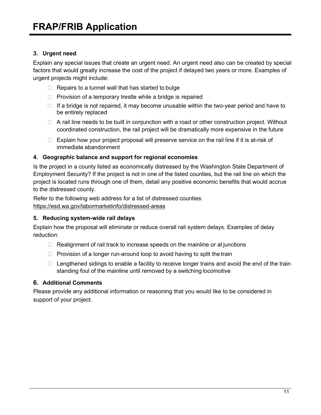#### **3. Urgent need**

Explain any special issues that create an urgent need. An urgent need also can be created by special factors that would greatly increase the cost of the project if delayed two years or more. Examples of urgent projects might include:

- $\Box$  Repairs to a tunnel wall that has started to bulge
- $\Box$  Provision of a temporary trestle while a bridge is repaired
- $\Box$  If a bridge is not repaired, it may become unusable within the two-year period and have to be entirely replaced
- $\Box$  A rail line needs to be built in conjunction with a road or other construction project. Without coordinated construction, the rail project will be dramatically more expensive in the future
- $\Box$  Explain how your project proposal will preserve service on the rail line if it is at-risk of immediate abandonment

#### **4. Geographic balance and support for regional economies**

Is the project in a county listed as economically distressed by the Washington State Department of Employment Security? If the project is not in one of the listed counties, but the rail line on which the project is located runs through one of them, detail any positive economic benefits that would accrue to the distressed county.

Refer to the following web address for a list of distressed counties: <https://esd.wa.gov/labormarketinfo/distressed-areas>

#### **5. Reducing system-wide rail delays**

Explain how the proposal will eliminate or reduce overall rail system delays. Examples of delay reduction:

- $\Box$  Realignment of rail track to increase speeds on the mainline or at junctions
- $\Box$  Provision of a longer run-around loop to avoid having to split the train
- $\Box$  Lengthened sidings to enable a facility to receive longer trains and avoid the end of the train standing foul of the mainline until removed by a switching locomotive

#### **6. Additional Comments**

Please provide any additional information or reasoning that you would like to be considered in support of your project.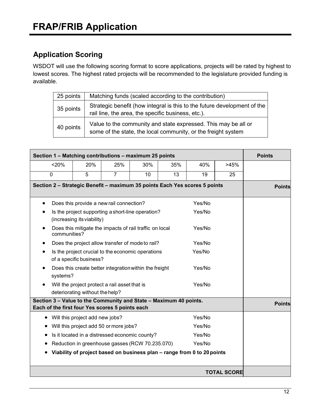# **Application Scoring**

WSDOT will use the following scoring format to score applications, projects will be rated by highest to lowest scores. The highest rated projects will be recommended to the legislature provided funding is available.

| Matching funds (scaled according to the contribution)<br>25 points |                                                                                                                                 |  |  |  |
|--------------------------------------------------------------------|---------------------------------------------------------------------------------------------------------------------------------|--|--|--|
| 35 points                                                          | Strategic benefit (how integral is this to the future development of the<br>rail line, the area, the specific business, etc.).  |  |  |  |
| 40 points                                                          | Value to the community and state expressed. This may be all or<br>some of the state, the local community, or the freight system |  |  |  |

| Section 1 - Matching contributions - maximum 25 points                                                               |                                                                                            |                |     |     |        | <b>Points</b> |               |  |
|----------------------------------------------------------------------------------------------------------------------|--------------------------------------------------------------------------------------------|----------------|-----|-----|--------|---------------|---------------|--|
| < 20%                                                                                                                | 20%                                                                                        | 25%            | 30% | 35% | 40%    | >45%          |               |  |
| $\mathbf 0$                                                                                                          | 5                                                                                          | $\overline{7}$ | 10  | 13  | 19     | 25            |               |  |
| Section 2 - Strategic Benefit - maximum 35 points Each Yes scores 5 points                                           |                                                                                            |                |     |     |        |               | <b>Points</b> |  |
| $\bullet$                                                                                                            | Does this provide a new rail connection?                                                   |                |     |     | Yes/No |               |               |  |
|                                                                                                                      | Yes/No<br>Is the project supporting a short-line operation?<br>(increasing its viability)  |                |     |     |        |               |               |  |
|                                                                                                                      | Does this mitigate the impacts of rail traffic on local<br>Yes/No<br>communities?          |                |     |     |        |               |               |  |
|                                                                                                                      | Does the project allow transfer of mode to rail?                                           |                |     |     | Yes/No |               |               |  |
|                                                                                                                      | Is the project crucial to the economic operations<br>Yes/No<br>of a specific business?     |                |     |     |        |               |               |  |
|                                                                                                                      | Does this create better integration within the freight<br>Yes/No<br>systems?               |                |     |     |        |               |               |  |
|                                                                                                                      | Yes/No<br>Will the project protect a rail asset that is<br>deteriorating without the help? |                |     |     |        |               |               |  |
| Section 3 - Value to the Community and State - Maximum 40 points.<br>Each of the first four Yes scores 5 points each |                                                                                            |                |     |     |        |               | <b>Points</b> |  |
| $\bullet$                                                                                                            | Will this project add new jobs?                                                            |                |     |     | Yes/No |               |               |  |
| Will this project add 50 or more jobs?<br>Yes/No                                                                     |                                                                                            |                |     |     |        |               |               |  |
|                                                                                                                      | Yes/No<br>Is it located in a distressed economic county?                                   |                |     |     |        |               |               |  |
|                                                                                                                      | Yes/No<br>Reduction in greenhouse gasses (RCW 70.235.070)                                  |                |     |     |        |               |               |  |
| Viability of project based on business plan - range from 0 to 20 points                                              |                                                                                            |                |     |     |        |               |               |  |
| <b>TOTAL SCORE</b>                                                                                                   |                                                                                            |                |     |     |        |               |               |  |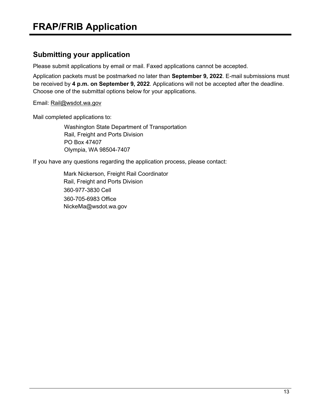## **Submitting your application**

Please submit applications by email or mail. Faxed applications cannot be accepted.

Application packets must be postmarked no later than **September 9, 2022**. E-mail submissions must be received by **4 p.m. on September 9, 2022**. Applications will not be accepted after the deadline. Choose one of the submittal options below for your applications.

Email: [Rail@wsdot.wa.gov](mailto:Rail@wsdot.wa.gov)

Mail completed applications to:

Washington State Department of Transportation Rail, Freight and Ports Division PO Box 47407 Olympia, WA 98504-7407

If you have any questions regarding the application process, please contact:

Mark Nickerson, Freight Rail Coordinator Rail, Freight and Ports Division 360-977-3830 Cell 360-705-6983 Office [NickeMa@wsdot.wa.gov](mailto:NickeMa@wsdot.wa.gov)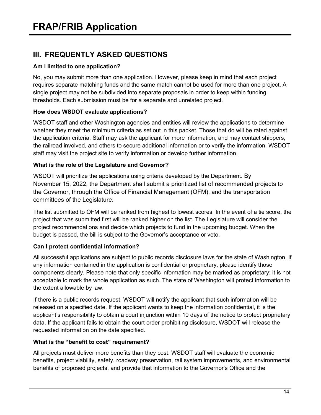# **III. FREQUENTLY ASKED QUESTIONS**

#### **Am I limited to one application?**

No, you may submit more than one application. However, please keep in mind that each project requires separate matching funds and the same match cannot be used for more than one project. A single project may not be subdivided into separate proposals in order to keep within funding thresholds. Each submission must be for a separate and unrelated project.

#### **How does WSDOT evaluate applications?**

WSDOT staff and other Washington agencies and entities will review the applications to determine whether they meet the minimum criteria as set out in this packet. Those that do will be rated against the application criteria. Staff may ask the applicant for more information, and may contact shippers, the railroad involved, and others to secure additional information or to verify the information. WSDOT staff may visit the project site to verify information or develop further information.

#### **What is the role of the Legislature and Governor?**

WSDOT will prioritize the applications using criteria developed by the Department. By November 15, 2022, the Department shall submit a prioritized list of recommended projects to the Governor, through the Office of Financial Management (OFM), and the transportation committees of the Legislature.

The list submitted to OFM will be ranked from highest to lowest scores. In the event of a tie score, the project that was submitted first will be ranked higher on the list. The Legislature will consider the project recommendations and decide which projects to fund in the upcoming budget. When the budget is passed, the bill is subject to the Governor's acceptance or veto.

#### **Can I protect confidential information?**

All successful applications are subject to public records disclosure laws for the state of Washington. If any information contained in the application is confidential or proprietary, please identify those components clearly. Please note that only specific information may be marked as proprietary; it is not acceptable to mark the whole application as such. The state of Washington will protect information to the extent allowable by law.

If there is a public records request, WSDOT will notify the applicant that such information will be released on a specified date. If the applicant wants to keep the information confidential, it is the applicant's responsibility to obtain a court injunction within 10 days of the notice to protect proprietary data. If the applicant fails to obtain the court order prohibiting disclosure, WSDOT will release the requested information on the date specified.

#### **What is the "benefit to cost" requirement?**

All projects must deliver more benefits than they cost. WSDOT staff will evaluate the economic benefits, project viability, safety, roadway preservation, rail system improvements, and environmental benefits of proposed projects, and provide that information to the Governor's Office and the